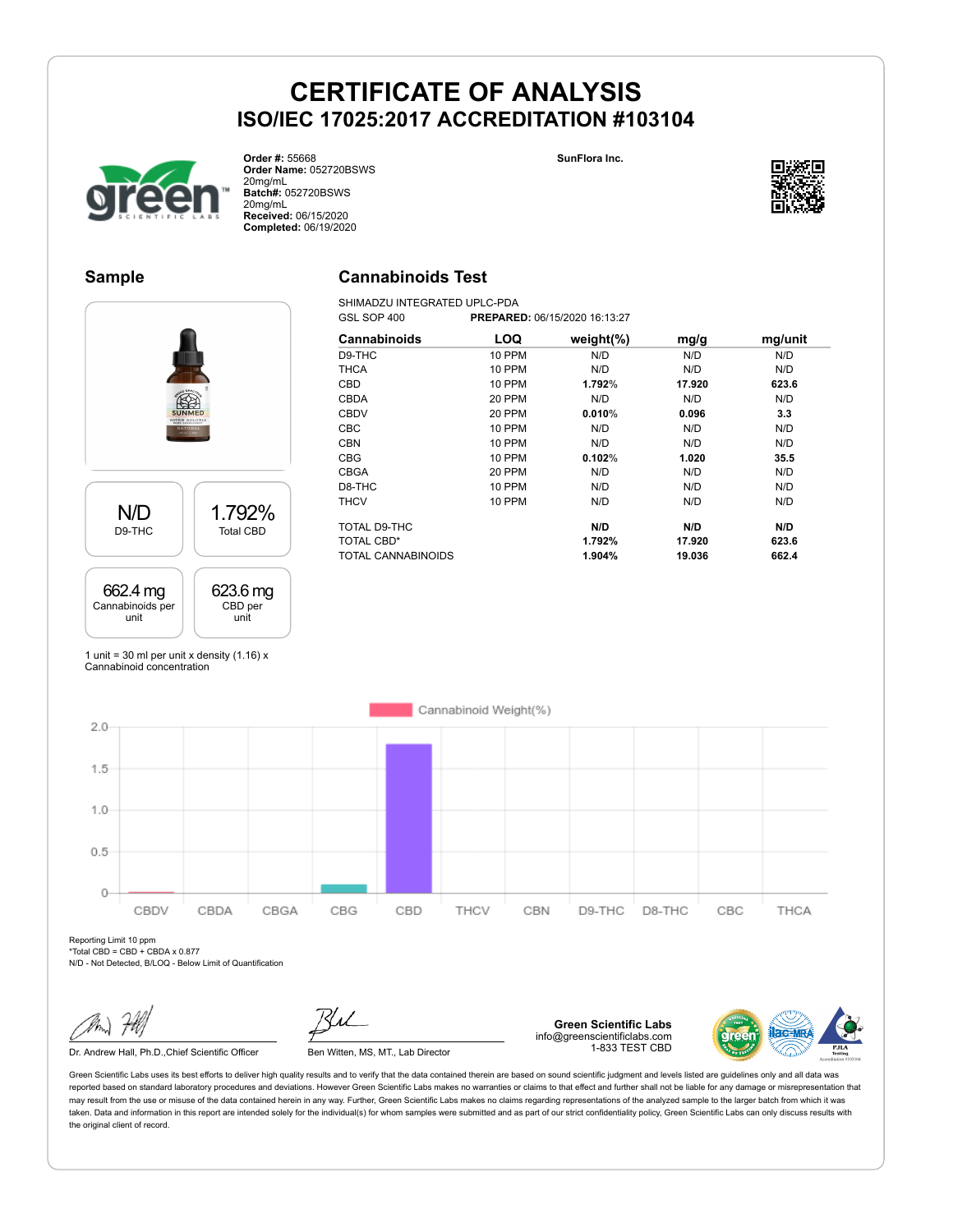**SunFlora Inc.**



**Order #:** 55668 **Order Name:** 052720BSWS 20mg/mL **Batch#:** 052720BSWS 20mg/mL **Received:** 06/15/2020 **Completed:** 06/19/2020

### **Sample**

### **Cannabinoids Test**

SHIMADZU INTEGRATED UPLC-PDA<br>GSL SOP 400 PREPARE GSL SOP 400 **PREPARED:** 06/15/2020 16:13:27



| Cannabinoids       | LOQ           | weight $(\%)$ | mg/g   | mg/unit |
|--------------------|---------------|---------------|--------|---------|
| D9-THC             | <b>10 PPM</b> | N/D           | N/D    | N/D     |
| <b>THCA</b>        | <b>10 PPM</b> | N/D           | N/D    | N/D     |
| <b>CBD</b>         | <b>10 PPM</b> | 1.792%        | 17.920 | 623.6   |
| <b>CBDA</b>        | <b>20 PPM</b> | N/D           | N/D    | N/D     |
| <b>CBDV</b>        | <b>20 PPM</b> | 0.010%        | 0.096  | 3.3     |
| <b>CBC</b>         | <b>10 PPM</b> | N/D           | N/D    | N/D     |
| <b>CBN</b>         | <b>10 PPM</b> | N/D           | N/D    | N/D     |
| <b>CBG</b>         | <b>10 PPM</b> | 0.102%        | 1.020  | 35.5    |
| <b>CBGA</b>        | 20 PPM        | N/D           | N/D    | N/D     |
| D8-THC             | <b>10 PPM</b> | N/D           | N/D    | N/D     |
| <b>THCV</b>        | <b>10 PPM</b> | N/D           | N/D    | N/D     |
| TOTAL D9-THC       |               | N/D           | N/D    | N/D     |
| TOTAL CBD*         |               | 1.792%        | 17.920 | 623.6   |
| TOTAL CANNABINOIDS |               | 1.904%        | 19.036 | 662.4   |

1 unit = 30 ml per unit x density  $(1.16)$  x Cannabinoid concentration



Reporting Limit 10 ppm  $*$ Total CBD = CBD + CBDA x 0.877

N/D - Not Detected, B/LOQ - Below Limit of Quantification

Dr. Andrew Hall, Ph.D., Chief Scientific Officer Ben Witten, MS, MT., Lab Director



**Green Scientific Labs** info@greenscientificlabs.com 1-833 TEST CBD



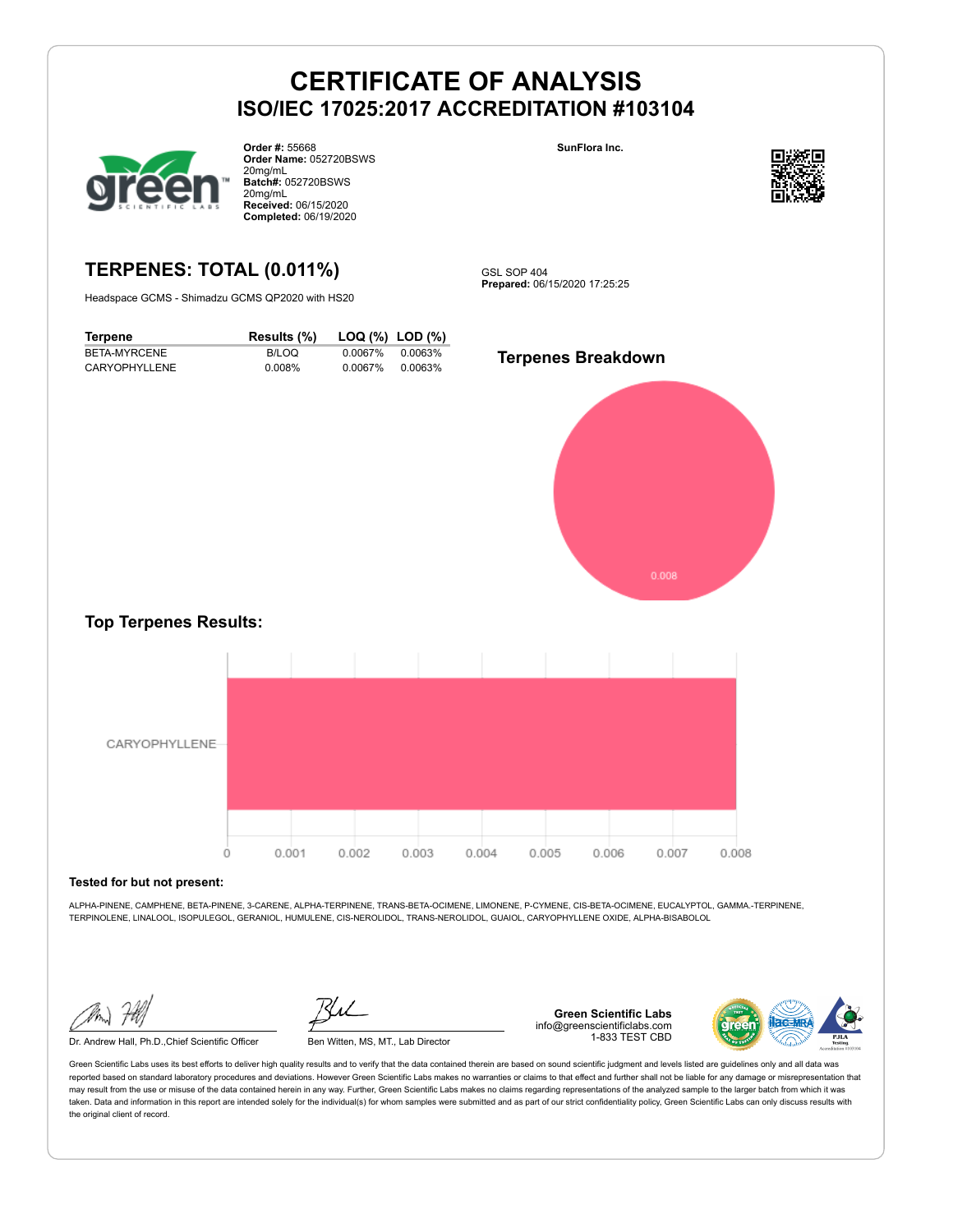

**Order #:** 55668 **Order Name:** 052720BSWS 20mg/mL **Batch#:** 052720BSWS 20mg/mL **Received:** 06/15/2020 **Completed:** 06/19/2020

### **SunFlora Inc.**



## **TERPENES: TOTAL (0.011%)**

Headspace GCMS - Shimadzu GCMS QP2020 with HS20

**Terpene Results (%) LOQ (%) LOD (%)** BETA-MYRCENE B/LOQ 0.0067% 0.0063% CARYOPHYLLENE 0.008% 0.0067% 0.0063%

GSL SOP 404 **Prepared:** 06/15/2020 17:25:25

**Terpenes Breakdown**



#### **Top Terpenes Results:**



#### **Tested for but not present:**

ALPHA-PINENE, CAMPHENE, BETA-PINENE, 3-CARENE, ALPHA-TERPINENE, TRANS-BETA-OCIMENE, LIMONENE, P-CYMENE, CIS-BETA-OCIMENE, EUCALYPTOL, GAMMA.-TERPINENE, TERPINOLENE, LINALOOL, ISOPULEGOL, GERANIOL, HUMULENE, CIS-NEROLIDOL, TRANS-NEROLIDOL, GUAIOL, CARYOPHYLLENE OXIDE, ALPHA-BISABOLOL

Dr. Andrew Hall, Ph.D.,Chief Scientific Officer Ben Witten, MS, MT., Lab Director

**Green Scientific Labs** info@greenscientificlabs.com 1-833 TEST CBD

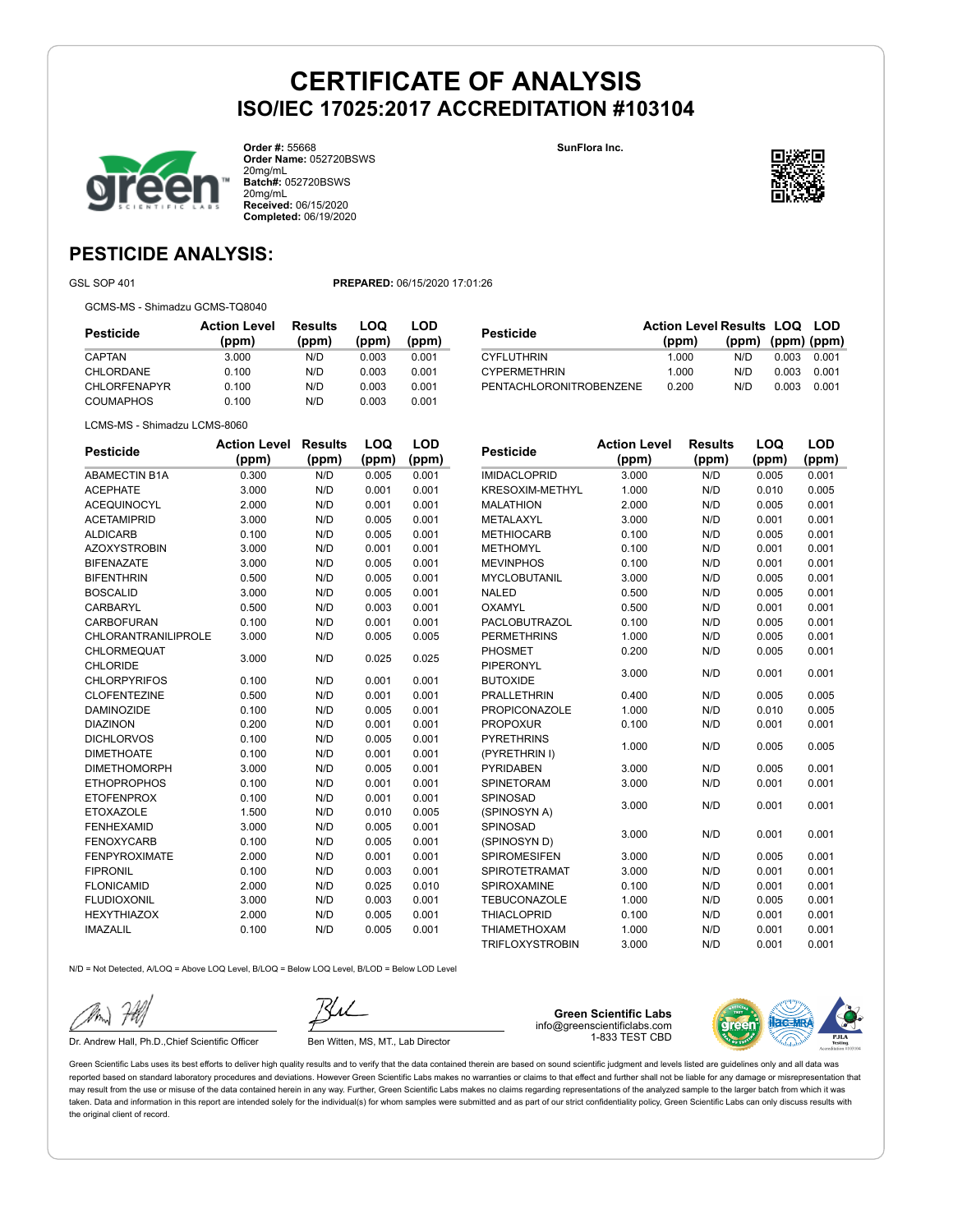

**Order #:** 55668 **Order Name:** 052720BSWS 20mg/mL **Batch#:** 052720BSWS 20mg/mL **Received:** 06/15/2020 **Completed:** 06/19/2020

**SunFlora Inc.**



## **PESTICIDE ANALYSIS:**

GSL SOP 401 **PREPARED:** 06/15/2020 17:01:26

GCMS-MS - Shimadzu GCMS-TQ8040

| Pesticide           | <b>Action Level</b><br>(ppm) | <b>Results</b><br>(ppm) | LOQ<br>(ppm) | LOD<br>(ppm) |
|---------------------|------------------------------|-------------------------|--------------|--------------|
| CAPTAN              | 3.000                        | N/D                     | 0.003        | 0.001        |
| CHLORDANE           | 0.100                        | N/D                     | 0.003        | 0.001        |
| <b>CHLORFENAPYR</b> | 0.100                        | N/D                     | 0.003        | 0.001        |
| COUMAPHOS           | 0.100                        | N/D                     | 0.003        | 0.001        |

| Pesticide               | <b>Action Level Results LOQ LOD</b><br>(ppm) | $(ppm)$ $(ppm)$ $(ppm)$ |       |       |
|-------------------------|----------------------------------------------|-------------------------|-------|-------|
| <b>CYFLUTHRIN</b>       | 1.000                                        | N/D.                    | 0.003 | 0.001 |
| <b>CYPERMETHRIN</b>     | 1.000                                        | N/D                     | 0.003 | 0.001 |
| PENTACHLORONITROBENZENE | 0.200                                        | N/D                     | 0.003 | 0.001 |

LCMS-MS - Shimadzu LCMS-8060

| <b>Pesticide</b>           | <b>Action Level</b> | <b>Results</b> | LOQ   | <b>LOD</b> |
|----------------------------|---------------------|----------------|-------|------------|
|                            | (ppm)               | (ppm)          | (ppm) | (ppm)      |
| <b>ABAMECTIN B1A</b>       | 0.300               | N/D            | 0.005 | 0.001      |
| <b>ACEPHATE</b>            | 3.000               | N/D            | 0.001 | 0.001      |
| <b>ACEQUINOCYL</b>         | 2.000               | N/D            | 0.001 | 0.001      |
| <b>ACETAMIPRID</b>         | 3.000               | N/D            | 0.005 | 0.001      |
| <b>ALDICARB</b>            | 0.100               | N/D            | 0.005 | 0.001      |
| <b>AZOXYSTROBIN</b>        | 3.000               | N/D            | 0.001 | 0.001      |
| <b>BIFENAZATE</b>          | 3.000               | N/D            | 0.005 | 0.001      |
| <b>BIFENTHRIN</b>          | 0.500               | N/D            | 0.005 | 0.001      |
| <b>BOSCALID</b>            | 3.000               | N/D            | 0.005 | 0.001      |
| CARBARYL                   | 0.500               | N/D            | 0.003 | 0.001      |
| CARBOFURAN                 | 0.100               | N/D            | 0.001 | 0.001      |
| <b>CHLORANTRANILIPROLE</b> | 3.000               | N/D            | 0.005 | 0.005      |
| <b>CHLORMEQUAT</b>         | 3.000               | N/D            | 0.025 | 0.025      |
| <b>CHLORIDE</b>            |                     |                |       |            |
| <b>CHLORPYRIFOS</b>        | 0.100               | N/D            | 0.001 | 0.001      |
| <b>CLOFENTEZINE</b>        | 0.500               | N/D            | 0.001 | 0.001      |
| <b>DAMINOZIDE</b>          | 0.100               | N/D            | 0.005 | 0.001      |
| <b>DIAZINON</b>            | 0.200               | N/D            | 0.001 | 0.001      |
| <b>DICHLORVOS</b>          | 0.100               | N/D            | 0.005 | 0.001      |
| <b>DIMETHOATE</b>          | 0.100               | N/D            | 0.001 | 0.001      |
| <b>DIMETHOMORPH</b>        | 3.000               | N/D            | 0.005 | 0.001      |
| <b>ETHOPROPHOS</b>         | 0.100               | N/D            | 0.001 | 0.001      |
| <b>ETOFENPROX</b>          | 0.100               | N/D            | 0.001 | 0.001      |
| <b>ETOXAZOLE</b>           | 1.500               | N/D            | 0.010 | 0.005      |
| <b>FENHEXAMID</b>          | 3.000               | N/D            | 0.005 | 0.001      |
| <b>FENOXYCARB</b>          | 0.100               | N/D            | 0.005 | 0.001      |
| <b>FENPYROXIMATE</b>       | 2.000               | N/D            | 0.001 | 0.001      |
| <b>FIPRONIL</b>            | 0.100               | N/D            | 0.003 | 0.001      |
| <b>FLONICAMID</b>          | 2.000               | N/D            | 0.025 | 0.010      |
| <b>FLUDIOXONIL</b>         | 3.000               | N/D            | 0.003 | 0.001      |
| <b>HEXYTHIAZOX</b>         | 2.000               | N/D            | 0.005 | 0.001      |
| <b>IMAZALIL</b>            | 0.100               | N/D            | 0.005 | 0.001      |
|                            |                     |                |       |            |

| Pesticide              | <b>Action Level</b> | <b>Results</b> | LOQ   | <b>LOD</b> |
|------------------------|---------------------|----------------|-------|------------|
|                        | (ppm)               | (ppm)          | (ppm) | (ppm)      |
| <b>IMIDACLOPRID</b>    | 3.000               | N/D            | 0.005 | 0.001      |
| <b>KRESOXIM-METHYL</b> | 1.000               | N/D            | 0.010 | 0.005      |
| <b>MALATHION</b>       | 2.000               | N/D            | 0.005 | 0.001      |
| METALAXYL              | 3.000               | N/D            | 0.001 | 0.001      |
| <b>METHIOCARB</b>      | 0.100               | N/D            | 0.005 | 0.001      |
| <b>METHOMYL</b>        | 0.100               | N/D            | 0.001 | 0.001      |
| <b>MEVINPHOS</b>       | 0.100               | N/D            | 0.001 | 0.001      |
| <b>MYCLOBUTANIL</b>    | 3.000               | N/D            | 0.005 | 0.001      |
| <b>NALED</b>           | 0.500               | N/D            | 0.005 | 0.001      |
| <b>OXAMYL</b>          | 0.500               | N/D            | 0.001 | 0.001      |
| <b>PACLOBUTRAZOL</b>   | 0.100               | N/D            | 0.005 | 0.001      |
| <b>PERMETHRINS</b>     | 1.000               | N/D            | 0.005 | 0.001      |
| <b>PHOSMET</b>         | 0.200               | N/D            | 0.005 | 0.001      |
| <b>PIPERONYL</b>       | 3.000               | N/D            | 0.001 | 0.001      |
| <b>BUTOXIDE</b>        |                     |                |       |            |
| <b>PRALLETHRIN</b>     | 0.400               | N/D            | 0.005 | 0.005      |
| <b>PROPICONAZOLE</b>   | 1.000               | N/D            | 0.010 | 0.005      |
| <b>PROPOXUR</b>        | 0.100               | N/D            | 0.001 | 0.001      |
| <b>PYRETHRINS</b>      | 1.000               | N/D            | 0.005 | 0.005      |
| (PYRETHRIN I)          |                     |                |       |            |
| <b>PYRIDABEN</b>       | 3.000               | N/D            | 0.005 | 0.001      |
| <b>SPINETORAM</b>      | 3.000               | N/D            | 0.001 | 0.001      |
| <b>SPINOSAD</b>        | 3.000               | N/D            | 0.001 | 0.001      |
| (SPINOSYN A)           |                     |                |       |            |
| SPINOSAD               | 3.000               | N/D            | 0.001 | 0.001      |
| (SPINOSYN D)           |                     |                |       |            |
| <b>SPIROMESIFEN</b>    | 3.000               | N/D            | 0.005 | 0.001      |
| <b>SPIROTETRAMAT</b>   | 3.000               | N/D            | 0.001 | 0.001      |
| SPIROXAMINE            | 0.100               | N/D            | 0.001 | 0.001      |
| <b>TEBUCONAZOLE</b>    | 1.000               | N/D            | 0.005 | 0.001      |
| <b>THIACLOPRID</b>     | 0.100               | N/D            | 0.001 | 0.001      |
| <b>THIAMETHOXAM</b>    | 1.000               | N/D            | 0.001 | 0.001      |
| <b>TRIFLOXYSTROBIN</b> | 3.000               | N/D            | 0.001 | 0.001      |

N/D = Not Detected, A/LOQ = Above LOQ Level, B/LOQ = Below LOQ Level, B/LOD = Below LOD Level

Dr. Andrew Hall, Ph.D., Chief Scientific Officer Ben Witten, MS, MT., Lab Director

**Green Scientific Labs** info@greenscientificlabs.com 1-833 TEST CBD

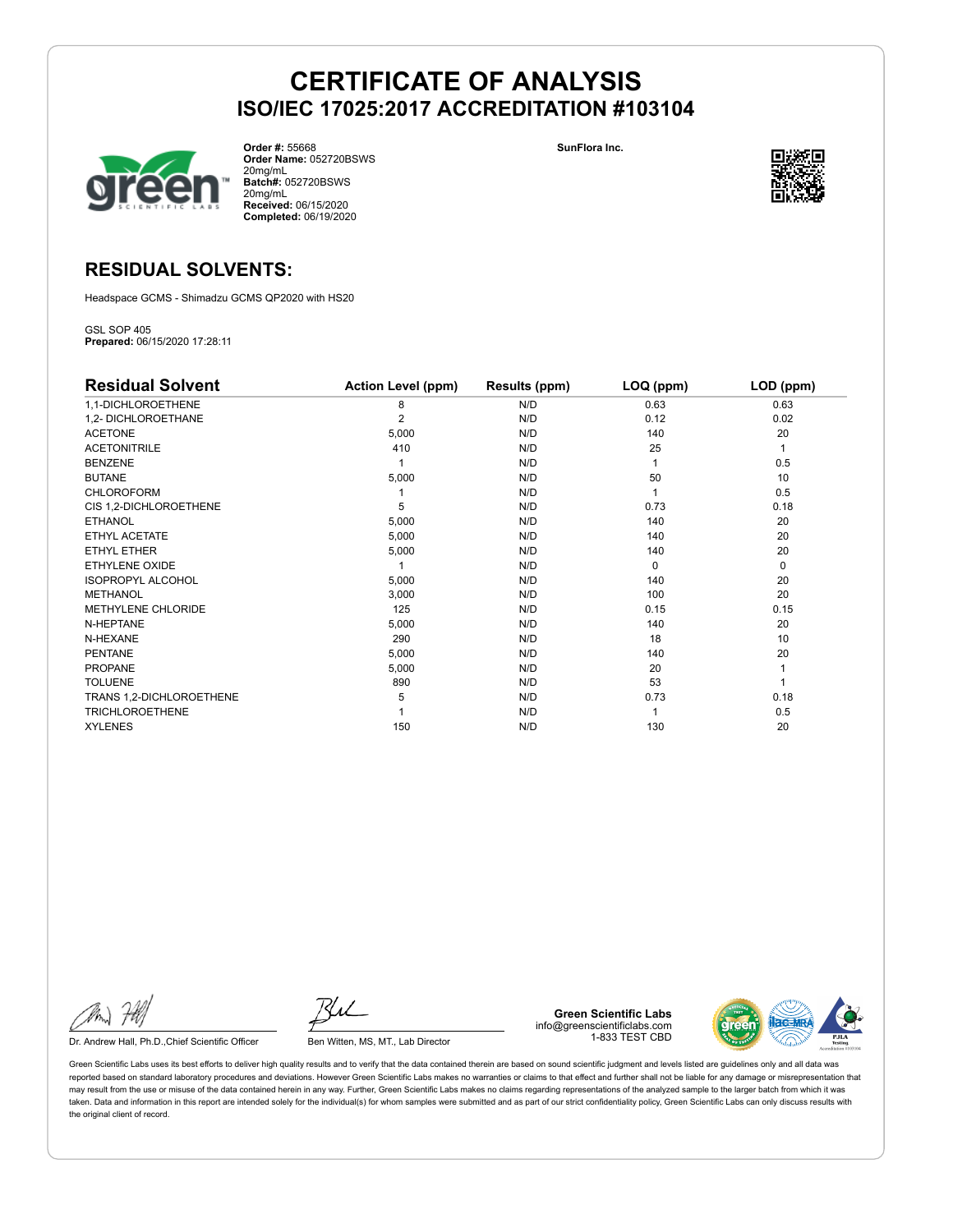

**Order #:** 55668 **Order Name:** 052720BSWS 20mg/mL **Batch#:** 052720BSWS 20mg/mL **Received:** 06/15/2020 **Completed:** 06/19/2020

**SunFlora Inc.**



### **RESIDUAL SOLVENTS:**

Headspace GCMS - Shimadzu GCMS QP2020 with HS20

GSL SOP 405 **Prepared:** 06/15/2020 17:28:11

| <b>Residual Solvent</b>  | <b>Action Level (ppm)</b> | Results (ppm) | LOQ (ppm) | LOD (ppm)   |
|--------------------------|---------------------------|---------------|-----------|-------------|
| 1,1-DICHLOROETHENE       | 8                         | N/D           | 0.63      | 0.63        |
| 1,2- DICHLOROETHANE      | $\overline{2}$            | N/D           | 0.12      | 0.02        |
| <b>ACETONE</b>           | 5,000                     | N/D           | 140       | 20          |
| <b>ACETONITRILE</b>      | 410                       | N/D           | 25        | 1           |
| <b>BENZENE</b>           |                           | N/D           |           | 0.5         |
| <b>BUTANE</b>            | 5,000                     | N/D           | 50        | 10          |
| <b>CHLOROFORM</b>        |                           | N/D           |           | 0.5         |
| CIS 1,2-DICHLOROETHENE   | 5                         | N/D           | 0.73      | 0.18        |
| <b>ETHANOL</b>           | 5,000                     | N/D           | 140       | 20          |
| ETHYL ACETATE            | 5,000                     | N/D           | 140       | 20          |
| <b>ETHYL ETHER</b>       | 5,000                     | N/D           | 140       | 20          |
| ETHYLENE OXIDE           |                           | N/D           | $\Omega$  | $\mathbf 0$ |
| <b>ISOPROPYL ALCOHOL</b> | 5,000                     | N/D           | 140       | 20          |
| <b>METHANOL</b>          | 3,000                     | N/D           | 100       | 20          |
| METHYLENE CHLORIDE       | 125                       | N/D           | 0.15      | 0.15        |
| N-HEPTANE                | 5,000                     | N/D           | 140       | 20          |
| N-HEXANE                 | 290                       | N/D           | 18        | 10          |
| <b>PENTANE</b>           | 5,000                     | N/D           | 140       | 20          |
| <b>PROPANE</b>           | 5,000                     | N/D           | 20        |             |
| <b>TOLUENE</b>           | 890                       | N/D           | 53        |             |
| TRANS 1,2-DICHLOROETHENE | 5                         | N/D           | 0.73      | 0.18        |
| <b>TRICHLOROETHENE</b>   |                           | N/D           |           | 0.5         |
| <b>XYLENES</b>           | 150                       | N/D           | 130       | 20          |

Dr. Andrew Hall, Ph.D., Chief Scientific Officer Ben Witten, MS, MT., Lab Director

**Green Scientific Labs** info@greenscientificlabs.com 1-833 TEST CBD

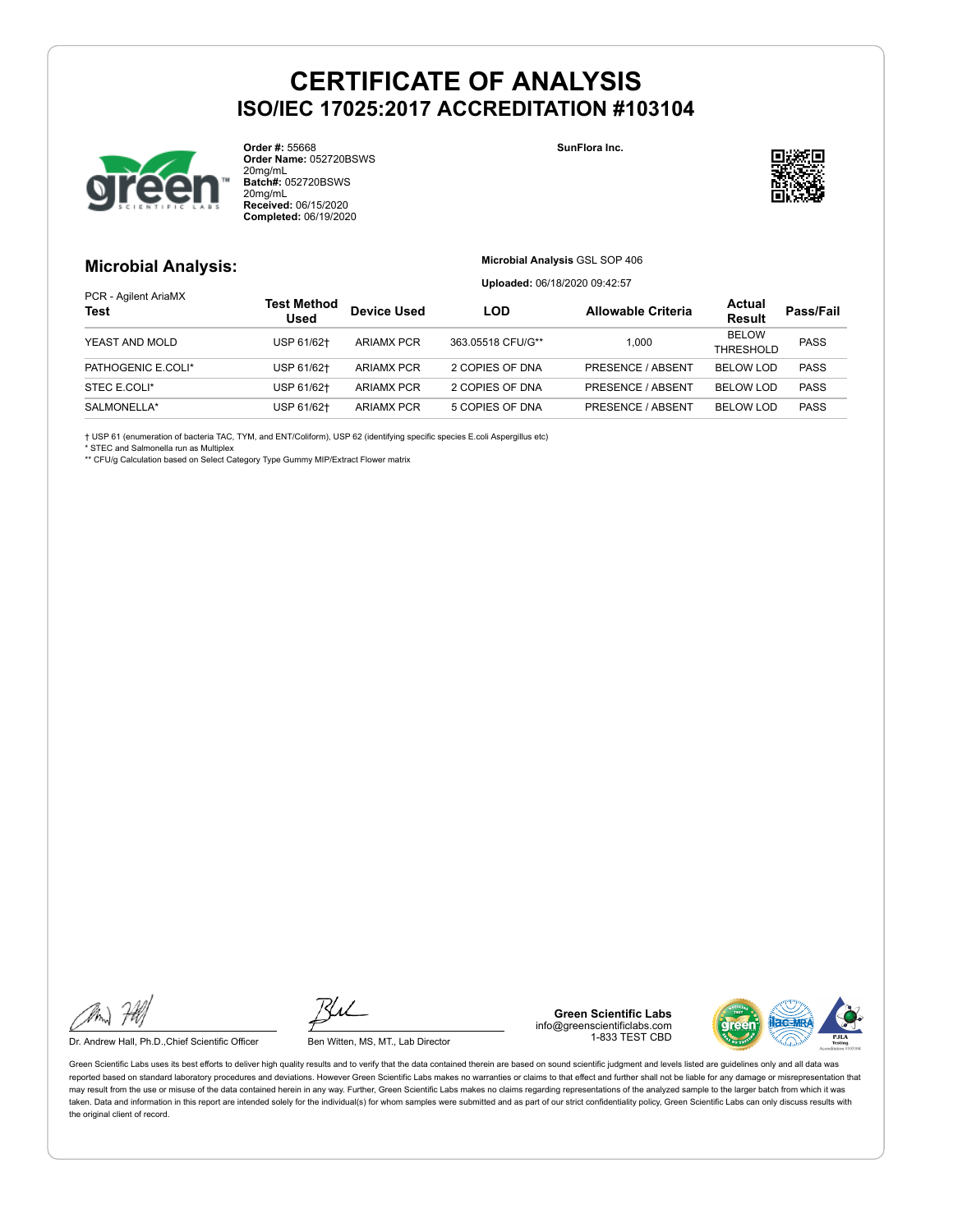

**Order #:** 55668 **Order Name:** 052720BSWS 20mg/mL **Batch#:** 052720BSWS 20mg/mL **Received:** 06/15/2020 **Completed:** 06/19/2020

#### **SunFlora Inc.**



### **Microbial Analysis:**

**Microbial Analysis** GSL SOP 406

**Uploaded:** 06/18/2020 09:42:57

|                                     |                                   | <b>Opiouucu.</b> Oo, TO/2020 00.42.07 |                   |                           |                           |             |
|-------------------------------------|-----------------------------------|---------------------------------------|-------------------|---------------------------|---------------------------|-------------|
| PCR - Agilent AriaMX<br><b>Test</b> | <b>Test Method</b><br><b>Used</b> | <b>Device Used</b>                    | LOD               | <b>Allowable Criteria</b> | Actual<br><b>Result</b>   | Pass/Fail   |
| YEAST AND MOLD                      | USP 61/62+                        | <b>ARIAMX PCR</b>                     | 363.05518 CFU/G** | 1.000                     | <b>BELOW</b><br>THRESHOLD | <b>PASS</b> |
| PATHOGENIC E.COLI*                  | USP 61/62+                        | <b>ARIAMX PCR</b>                     | 2 COPIES OF DNA   | PRESENCE / ABSENT         | <b>BELOW LOD</b>          | <b>PASS</b> |
| STEC E.COLI*                        | USP 61/62+                        | <b>ARIAMX PCR</b>                     | 2 COPIES OF DNA   | <b>PRESENCE / ABSENT</b>  | <b>BELOW LOD</b>          | <b>PASS</b> |
| SALMONELLA*                         | USP 61/62+                        | <b>ARIAMX PCR</b>                     | 5 COPIES OF DNA   | <b>PRESENCE / ABSENT</b>  | <b>BELOW LOD</b>          | <b>PASS</b> |

† USP 61 (enumeration of bacteria TAC, TYM, and ENT/Coliform), USP 62 (identifying specific species E.coli Aspergillus etc)

\* STEC and Salmonella run as Multiplex

\*\* CFU/g Calculation based on Select Category Type Gummy MIP/Extract Flower matrix

Dr. Andrew Hall, Ph.D., Chief Scientific Officer Ben Witten, MS, MT., Lab Director

**Green Scientific Labs** info@greenscientificlabs.com 1-833 TEST CBD